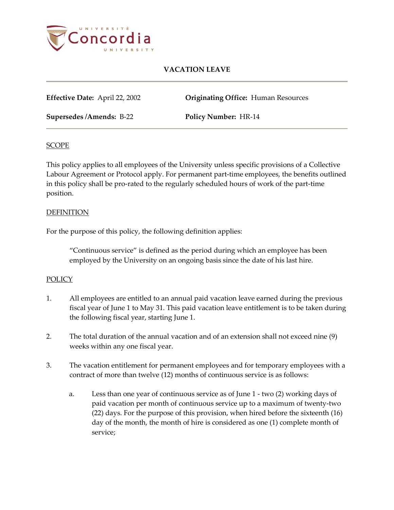

**Effective Date:** April 22, 2002 **Originating Office:** Human Resources

**Supersedes /Amends:** B-22 **Policy Number:** HR-14

### **SCOPE**

This policy applies to all employees of the University unless specific provisions of a Collective Labour Agreement or Protocol apply. For permanent part-time employees, the benefits outlined in this policy shall be pro-rated to the regularly scheduled hours of work of the part-time position.

### **DEFINITION**

For the purpose of this policy, the following definition applies:

"Continuous service" is defined as the period during which an employee has been employed by the University on an ongoing basis since the date of his last hire.

## POLICY

- 1. All employees are entitled to an annual paid vacation leave earned during the previous fiscal year of June 1 to May 31. This paid vacation leave entitlement is to be taken during the following fiscal year, starting June 1.
- 2. The total duration of the annual vacation and of an extension shall not exceed nine (9) weeks within any one fiscal year.
- 3. The vacation entitlement for permanent employees and for temporary employees with a contract of more than twelve (12) months of continuous service is as follows:
	- a. Less than one year of continuous service as of June 1 two (2) working days of paid vacation per month of continuous service up to a maximum of twenty-two (22) days. For the purpose of this provision, when hired before the sixteenth (16) day of the month, the month of hire is considered as one (1) complete month of service;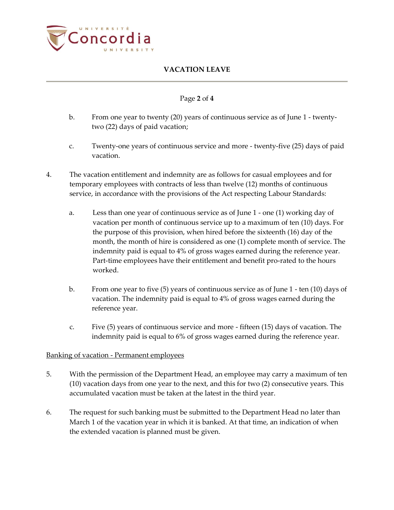

## Page **2** of **4**

- b. From one year to twenty (20) years of continuous service as of June 1 twentytwo (22) days of paid vacation;
- c. Twenty-one years of continuous service and more twenty-five (25) days of paid vacation.
- 4. The vacation entitlement and indemnity are as follows for casual employees and for temporary employees with contracts of less than twelve (12) months of continuous service, in accordance with the provisions of the Act respecting Labour Standards:
	- a. Less than one year of continuous service as of June 1 one (1) working day of vacation per month of continuous service up to a maximum of ten (10) days. For the purpose of this provision, when hired before the sixteenth (16) day of the month, the month of hire is considered as one (1) complete month of service. The indemnity paid is equal to 4% of gross wages earned during the reference year. Part-time employees have their entitlement and benefit pro-rated to the hours worked.
	- b. From one year to five (5) years of continuous service as of June 1 ten (10) days of vacation. The indemnity paid is equal to 4% of gross wages earned during the reference year.
	- c. Five (5) years of continuous service and more fifteen (15) days of vacation. The indemnity paid is equal to 6% of gross wages earned during the reference year.

## Banking of vacation - Permanent employees

- 5. With the permission of the Department Head, an employee may carry a maximum of ten (10) vacation days from one year to the next, and this for two (2) consecutive years. This accumulated vacation must be taken at the latest in the third year.
- 6. The request for such banking must be submitted to the Department Head no later than March 1 of the vacation year in which it is banked. At that time, an indication of when the extended vacation is planned must be given.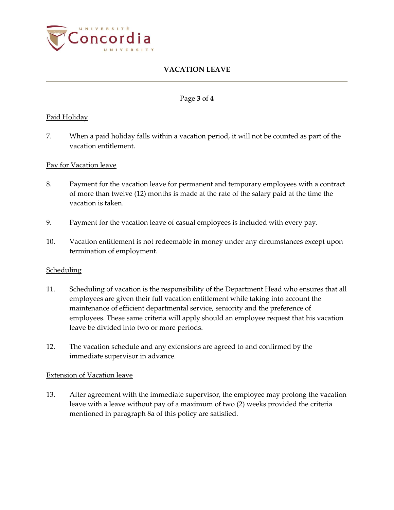

### Page **3** of **4**

### Paid Holiday

7. When a paid holiday falls within a vacation period, it will not be counted as part of the vacation entitlement.

### Pay for Vacation leave

- 8. Payment for the vacation leave for permanent and temporary employees with a contract of more than twelve (12) months is made at the rate of the salary paid at the time the vacation is taken.
- 9. Payment for the vacation leave of casual employees is included with every pay.
- 10. Vacation entitlement is not redeemable in money under any circumstances except upon termination of employment.

#### **Scheduling**

- 11. Scheduling of vacation is the responsibility of the Department Head who ensures that all employees are given their full vacation entitlement while taking into account the maintenance of efficient departmental service, seniority and the preference of employees. These same criteria will apply should an employee request that his vacation leave be divided into two or more periods.
- 12. The vacation schedule and any extensions are agreed to and confirmed by the immediate supervisor in advance.

#### Extension of Vacation leave

13. After agreement with the immediate supervisor, the employee may prolong the vacation leave with a leave without pay of a maximum of two (2) weeks provided the criteria mentioned in paragraph 8a of this policy are satisfied.